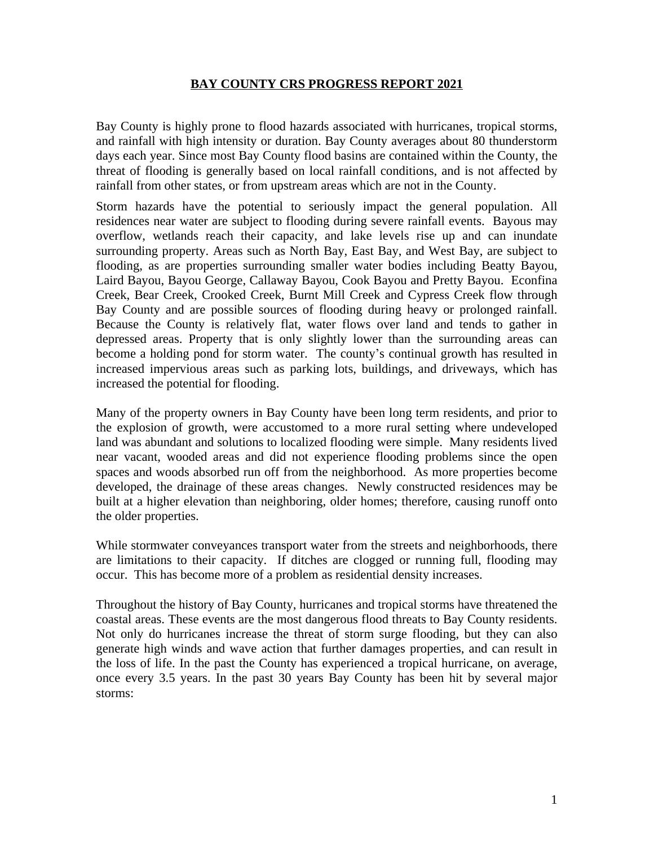#### **BAY COUNTY CRS PROGRESS REPORT 2021**

Bay County is highly prone to flood hazards associated with hurricanes, tropical storms, and rainfall with high intensity or duration. Bay County averages about 80 thunderstorm days each year. Since most Bay County flood basins are contained within the County, the threat of flooding is generally based on local rainfall conditions, and is not affected by rainfall from other states, or from upstream areas which are not in the County.

Storm hazards have the potential to seriously impact the general population. All residences near water are subject to flooding during severe rainfall events. Bayous may overflow, wetlands reach their capacity, and lake levels rise up and can inundate surrounding property. Areas such as North Bay, East Bay, and West Bay, are subject to flooding, as are properties surrounding smaller water bodies including Beatty Bayou, Laird Bayou, Bayou George, Callaway Bayou, Cook Bayou and Pretty Bayou. Econfina Creek, Bear Creek, Crooked Creek, Burnt Mill Creek and Cypress Creek flow through Bay County and are possible sources of flooding during heavy or prolonged rainfall. Because the County is relatively flat, water flows over land and tends to gather in depressed areas. Property that is only slightly lower than the surrounding areas can become a holding pond for storm water. The county's continual growth has resulted in increased impervious areas such as parking lots, buildings, and driveways, which has increased the potential for flooding.

Many of the property owners in Bay County have been long term residents, and prior to the explosion of growth, were accustomed to a more rural setting where undeveloped land was abundant and solutions to localized flooding were simple. Many residents lived near vacant, wooded areas and did not experience flooding problems since the open spaces and woods absorbed run off from the neighborhood. As more properties become developed, the drainage of these areas changes. Newly constructed residences may be built at a higher elevation than neighboring, older homes; therefore, causing runoff onto the older properties.

While stormwater conveyances transport water from the streets and neighborhoods, there are limitations to their capacity. If ditches are clogged or running full, flooding may occur. This has become more of a problem as residential density increases.

Throughout the history of Bay County, hurricanes and tropical storms have threatened the coastal areas. These events are the most dangerous flood threats to Bay County residents. Not only do hurricanes increase the threat of storm surge flooding, but they can also generate high winds and wave action that further damages properties, and can result in the loss of life. In the past the County has experienced a tropical hurricane, on average, once every 3.5 years. In the past 30 years Bay County has been hit by several major storms: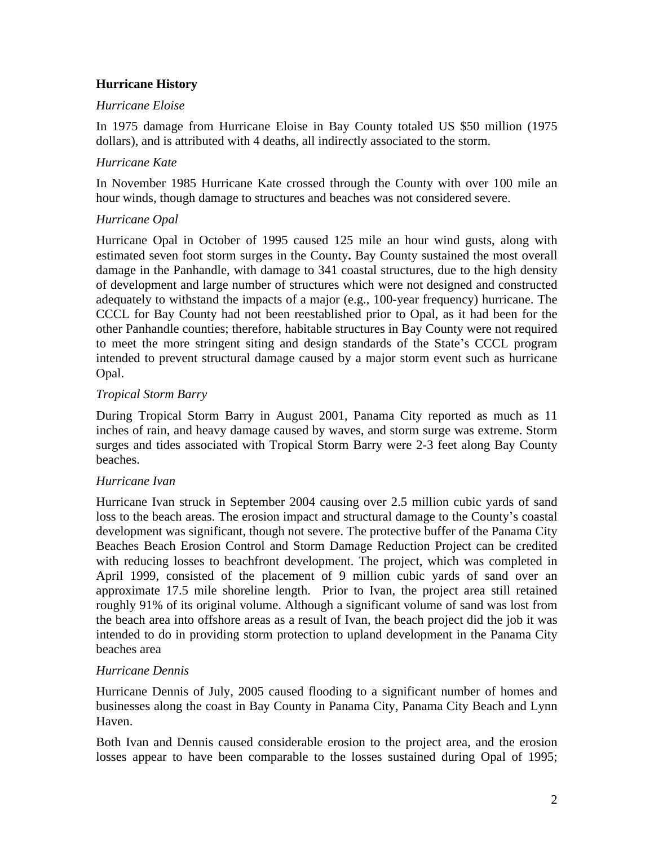# **Hurricane History**

## *Hurricane Eloise*

In 1975 damage from Hurricane Eloise in Bay County totaled US \$50 million (1975 dollars), and is attributed with 4 deaths, all indirectly associated to the storm.

# *Hurricane Kate*

In November 1985 Hurricane Kate crossed through the County with over 100 mile an hour winds, though damage to structures and beaches was not considered severe.

# *Hurricane Opal*

Hurricane Opal in October of 1995 caused 125 mile an hour wind gusts, along with estimated seven foot storm surges in the County**.** Bay County sustained the most overall damage in the Panhandle, with damage to 341 coastal structures, due to the high density of development and large number of structures which were not designed and constructed adequately to withstand the impacts of a major (e.g., 100-year frequency) hurricane. The CCCL for Bay County had not been reestablished prior to Opal, as it had been for the other Panhandle counties; therefore, habitable structures in Bay County were not required to meet the more stringent siting and design standards of the State's CCCL program intended to prevent structural damage caused by a major storm event such as hurricane Opal.

## *Tropical Storm Barry*

During Tropical Storm Barry in August 2001, Panama City reported as much as 11 inches of rain, and heavy damage caused by waves, and storm surge was extreme. Storm surges and tides associated with Tropical Storm Barry were 2-3 feet along Bay County beaches.

## *Hurricane Ivan*

Hurricane Ivan struck in September 2004 causing over 2.5 million cubic yards of sand loss to the beach areas. The erosion impact and structural damage to the County's coastal development was significant, though not severe. The protective buffer of the Panama City Beaches Beach Erosion Control and Storm Damage Reduction Project can be credited with reducing losses to beachfront development. The project, which was completed in April 1999, consisted of the placement of 9 million cubic yards of sand over an approximate 17.5 mile shoreline length. Prior to Ivan, the project area still retained roughly 91% of its original volume. Although a significant volume of sand was lost from the beach area into offshore areas as a result of Ivan, the beach project did the job it was intended to do in providing storm protection to upland development in the Panama City beaches area

# *Hurricane Dennis*

Hurricane Dennis of July, 2005 caused flooding to a significant number of homes and businesses along the coast in Bay County in Panama City, Panama City Beach and Lynn Haven.

Both Ivan and Dennis caused considerable erosion to the project area, and the erosion losses appear to have been comparable to the losses sustained during Opal of 1995;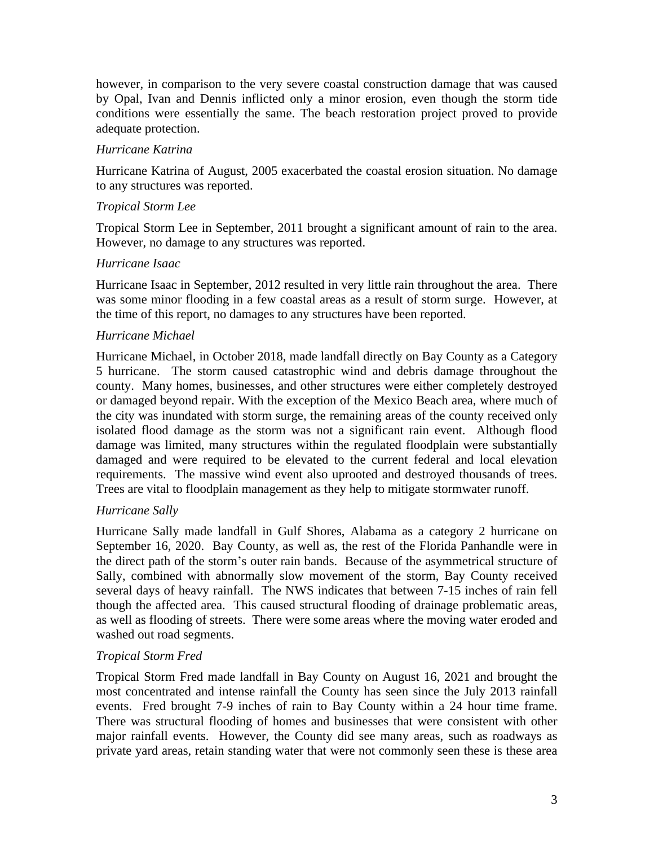however, in comparison to the very severe coastal construction damage that was caused by Opal, Ivan and Dennis inflicted only a minor erosion, even though the storm tide conditions were essentially the same. The beach restoration project proved to provide adequate protection.

# *Hurricane Katrina*

Hurricane Katrina of August, 2005 exacerbated the coastal erosion situation. No damage to any structures was reported.

# *Tropical Storm Lee*

Tropical Storm Lee in September, 2011 brought a significant amount of rain to the area. However, no damage to any structures was reported.

## *Hurricane Isaac*

Hurricane Isaac in September, 2012 resulted in very little rain throughout the area. There was some minor flooding in a few coastal areas as a result of storm surge. However, at the time of this report, no damages to any structures have been reported.

## *Hurricane Michael*

Hurricane Michael, in October 2018, made landfall directly on Bay County as a Category 5 hurricane. The storm caused catastrophic wind and debris damage throughout the county. Many homes, businesses, and other structures were either completely destroyed or damaged beyond repair. With the exception of the Mexico Beach area, where much of the city was inundated with storm surge, the remaining areas of the county received only isolated flood damage as the storm was not a significant rain event. Although flood damage was limited, many structures within the regulated floodplain were substantially damaged and were required to be elevated to the current federal and local elevation requirements. The massive wind event also uprooted and destroyed thousands of trees. Trees are vital to floodplain management as they help to mitigate stormwater runoff.

## *Hurricane Sally*

Hurricane Sally made landfall in Gulf Shores, Alabama as a category 2 hurricane on September 16, 2020. Bay County, as well as, the rest of the Florida Panhandle were in the direct path of the storm's outer rain bands. Because of the asymmetrical structure of Sally, combined with abnormally slow movement of the storm, Bay County received several days of heavy rainfall. The NWS indicates that between 7-15 inches of rain fell though the affected area. This caused structural flooding of drainage problematic areas, as well as flooding of streets. There were some areas where the moving water eroded and washed out road segments.

# *Tropical Storm Fred*

Tropical Storm Fred made landfall in Bay County on August 16, 2021 and brought the most concentrated and intense rainfall the County has seen since the July 2013 rainfall events. Fred brought 7-9 inches of rain to Bay County within a 24 hour time frame. There was structural flooding of homes and businesses that were consistent with other major rainfall events. However, the County did see many areas, such as roadways as private yard areas, retain standing water that were not commonly seen these is these area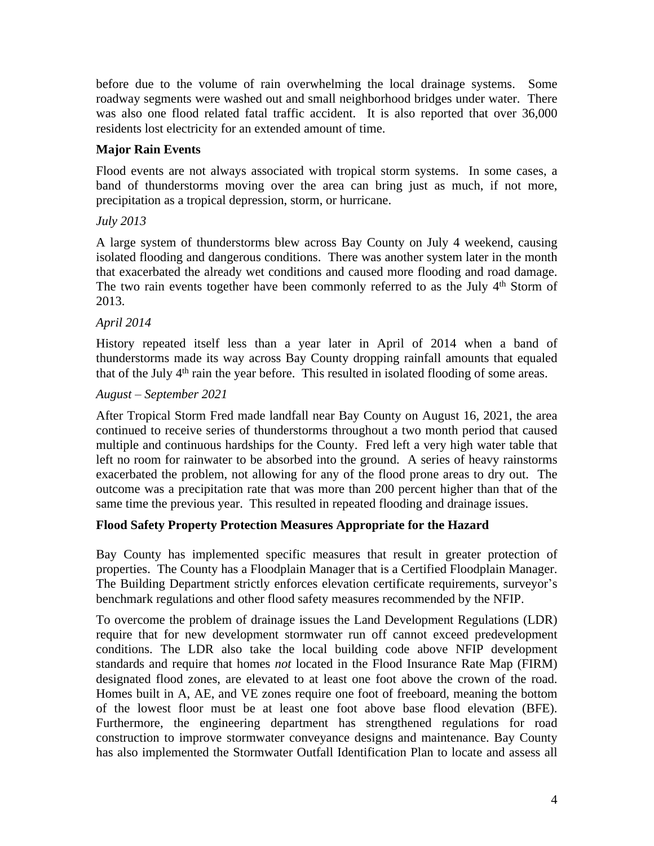before due to the volume of rain overwhelming the local drainage systems. Some roadway segments were washed out and small neighborhood bridges under water. There was also one flood related fatal traffic accident. It is also reported that over 36,000 residents lost electricity for an extended amount of time.

# **Major Rain Events**

Flood events are not always associated with tropical storm systems. In some cases, a band of thunderstorms moving over the area can bring just as much, if not more, precipitation as a tropical depression, storm, or hurricane.

# *July 2013*

A large system of thunderstorms blew across Bay County on July 4 weekend, causing isolated flooding and dangerous conditions. There was another system later in the month that exacerbated the already wet conditions and caused more flooding and road damage. The two rain events together have been commonly referred to as the July 4<sup>th</sup> Storm of 2013.

## *April 2014*

History repeated itself less than a year later in April of 2014 when a band of thunderstorms made its way across Bay County dropping rainfall amounts that equaled that of the July 4<sup>th</sup> rain the year before. This resulted in isolated flooding of some areas.

## *August – September 2021*

After Tropical Storm Fred made landfall near Bay County on August 16, 2021, the area continued to receive series of thunderstorms throughout a two month period that caused multiple and continuous hardships for the County. Fred left a very high water table that left no room for rainwater to be absorbed into the ground. A series of heavy rainstorms exacerbated the problem, not allowing for any of the flood prone areas to dry out. The outcome was a precipitation rate that was more than 200 percent higher than that of the same time the previous year. This resulted in repeated flooding and drainage issues.

# **Flood Safety Property Protection Measures Appropriate for the Hazard**

Bay County has implemented specific measures that result in greater protection of properties. The County has a Floodplain Manager that is a Certified Floodplain Manager. The Building Department strictly enforces elevation certificate requirements, surveyor's benchmark regulations and other flood safety measures recommended by the NFIP.

To overcome the problem of drainage issues the Land Development Regulations (LDR) require that for new development stormwater run off cannot exceed predevelopment conditions. The LDR also take the local building code above NFIP development standards and require that homes *not* located in the Flood Insurance Rate Map (FIRM) designated flood zones, are elevated to at least one foot above the crown of the road. Homes built in A, AE, and VE zones require one foot of freeboard, meaning the bottom of the lowest floor must be at least one foot above base flood elevation (BFE). Furthermore, the engineering department has strengthened regulations for road construction to improve stormwater conveyance designs and maintenance. Bay County has also implemented the Stormwater Outfall Identification Plan to locate and assess all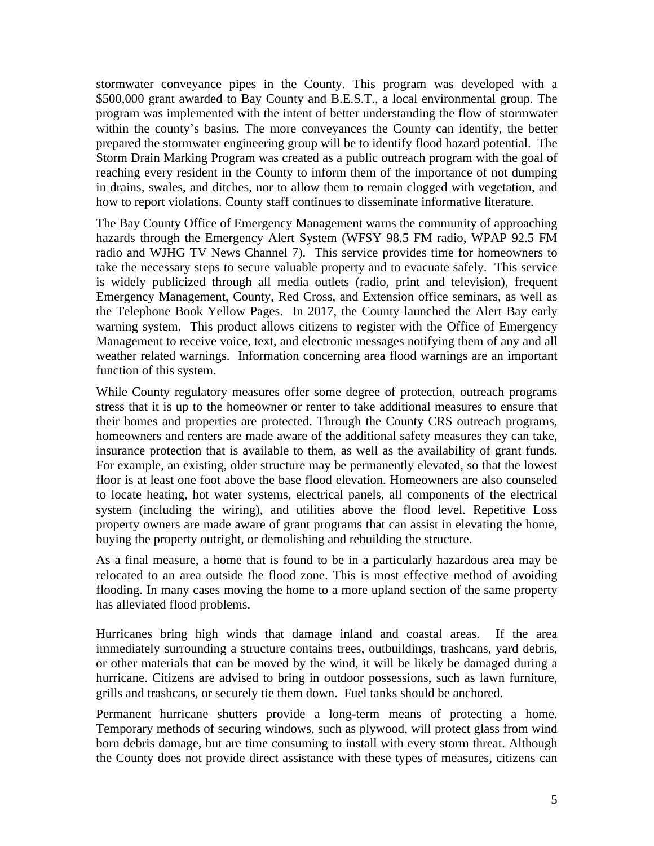stormwater conveyance pipes in the County. This program was developed with a \$500,000 grant awarded to Bay County and B.E.S.T., a local environmental group. The program was implemented with the intent of better understanding the flow of stormwater within the county's basins. The more conveyances the County can identify, the better prepared the stormwater engineering group will be to identify flood hazard potential. The Storm Drain Marking Program was created as a public outreach program with the goal of reaching every resident in the County to inform them of the importance of not dumping in drains, swales, and ditches, nor to allow them to remain clogged with vegetation, and how to report violations. County staff continues to disseminate informative literature.

The Bay County Office of Emergency Management warns the community of approaching hazards through the Emergency Alert System (WFSY 98.5 FM radio, WPAP 92.5 FM radio and WJHG TV News Channel 7). This service provides time for homeowners to take the necessary steps to secure valuable property and to evacuate safely. This service is widely publicized through all media outlets (radio, print and television), frequent Emergency Management, County, Red Cross, and Extension office seminars, as well as the Telephone Book Yellow Pages. In 2017, the County launched the Alert Bay early warning system. This product allows citizens to register with the Office of Emergency Management to receive voice, text, and electronic messages notifying them of any and all weather related warnings. Information concerning area flood warnings are an important function of this system.

While County regulatory measures offer some degree of protection, outreach programs stress that it is up to the homeowner or renter to take additional measures to ensure that their homes and properties are protected. Through the County CRS outreach programs, homeowners and renters are made aware of the additional safety measures they can take, insurance protection that is available to them, as well as the availability of grant funds. For example, an existing, older structure may be permanently elevated, so that the lowest floor is at least one foot above the base flood elevation. Homeowners are also counseled to locate heating, hot water systems, electrical panels, all components of the electrical system (including the wiring), and utilities above the flood level. Repetitive Loss property owners are made aware of grant programs that can assist in elevating the home, buying the property outright, or demolishing and rebuilding the structure.

As a final measure, a home that is found to be in a particularly hazardous area may be relocated to an area outside the flood zone. This is most effective method of avoiding flooding. In many cases moving the home to a more upland section of the same property has alleviated flood problems.

Hurricanes bring high winds that damage inland and coastal areas. If the area immediately surrounding a structure contains trees, outbuildings, trashcans, yard debris, or other materials that can be moved by the wind, it will be likely be damaged during a hurricane. Citizens are advised to bring in outdoor possessions, such as lawn furniture, grills and trashcans, or securely tie them down. Fuel tanks should be anchored.

Permanent hurricane shutters provide a long-term means of protecting a home. Temporary methods of securing windows, such as plywood, will protect glass from wind born debris damage, but are time consuming to install with every storm threat. Although the County does not provide direct assistance with these types of measures, citizens can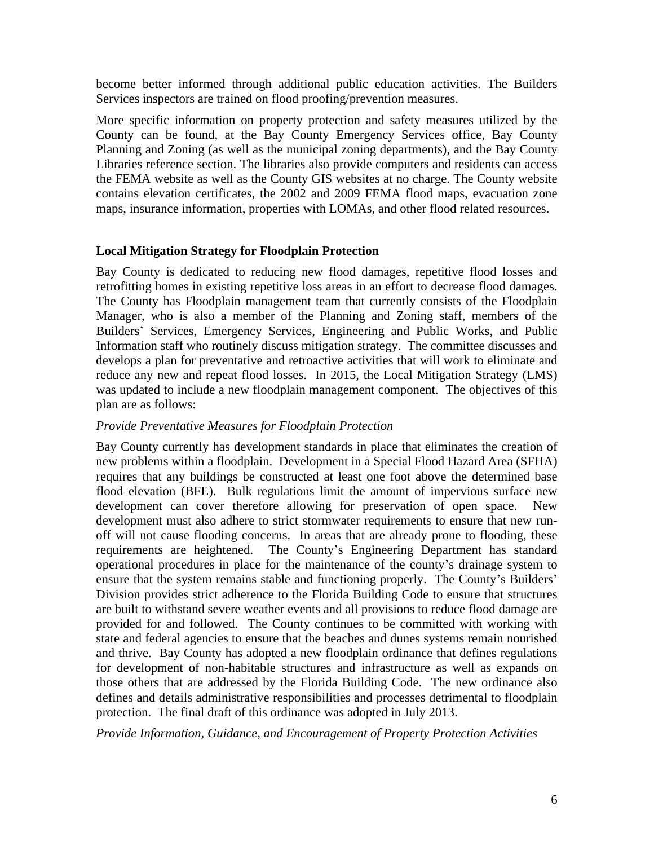become better informed through additional public education activities. The Builders Services inspectors are trained on flood proofing/prevention measures.

More specific information on property protection and safety measures utilized by the County can be found, at the Bay County Emergency Services office, Bay County Planning and Zoning (as well as the municipal zoning departments), and the Bay County Libraries reference section. The libraries also provide computers and residents can access the FEMA website as well as the County GIS websites at no charge. The County website contains elevation certificates, the 2002 and 2009 FEMA flood maps, evacuation zone maps, insurance information, properties with LOMAs, and other flood related resources.

## **Local Mitigation Strategy for Floodplain Protection**

Bay County is dedicated to reducing new flood damages, repetitive flood losses and retrofitting homes in existing repetitive loss areas in an effort to decrease flood damages. The County has Floodplain management team that currently consists of the Floodplain Manager, who is also a member of the Planning and Zoning staff, members of the Builders' Services, Emergency Services, Engineering and Public Works, and Public Information staff who routinely discuss mitigation strategy. The committee discusses and develops a plan for preventative and retroactive activities that will work to eliminate and reduce any new and repeat flood losses. In 2015, the Local Mitigation Strategy (LMS) was updated to include a new floodplain management component. The objectives of this plan are as follows:

## *Provide Preventative Measures for Floodplain Protection*

Bay County currently has development standards in place that eliminates the creation of new problems within a floodplain. Development in a Special Flood Hazard Area (SFHA) requires that any buildings be constructed at least one foot above the determined base flood elevation (BFE). Bulk regulations limit the amount of impervious surface new development can cover therefore allowing for preservation of open space. New development must also adhere to strict stormwater requirements to ensure that new runoff will not cause flooding concerns. In areas that are already prone to flooding, these requirements are heightened. The County's Engineering Department has standard operational procedures in place for the maintenance of the county's drainage system to ensure that the system remains stable and functioning properly. The County's Builders' Division provides strict adherence to the Florida Building Code to ensure that structures are built to withstand severe weather events and all provisions to reduce flood damage are provided for and followed. The County continues to be committed with working with state and federal agencies to ensure that the beaches and dunes systems remain nourished and thrive. Bay County has adopted a new floodplain ordinance that defines regulations for development of non-habitable structures and infrastructure as well as expands on those others that are addressed by the Florida Building Code. The new ordinance also defines and details administrative responsibilities and processes detrimental to floodplain protection. The final draft of this ordinance was adopted in July 2013.

*Provide Information, Guidance, and Encouragement of Property Protection Activities*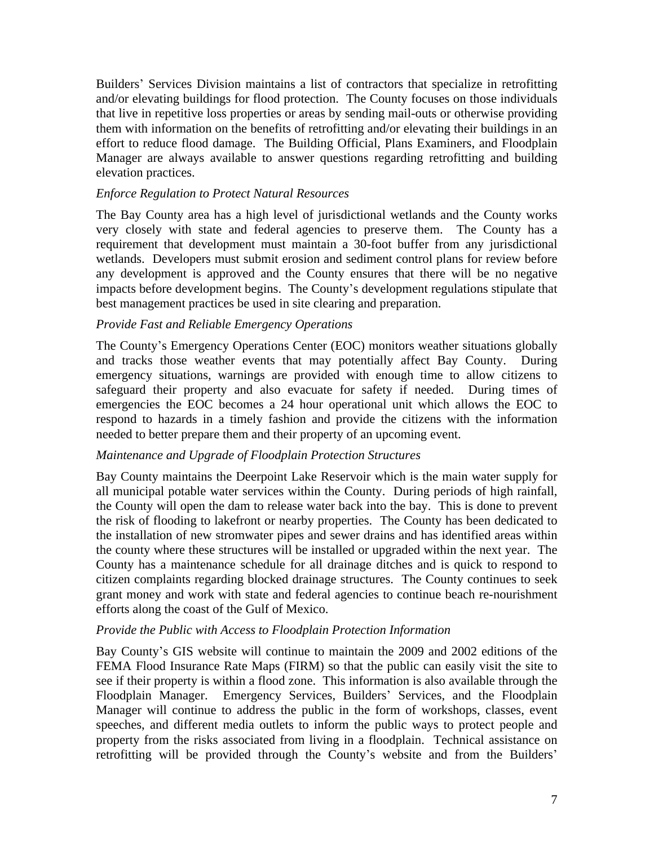Builders' Services Division maintains a list of contractors that specialize in retrofitting and/or elevating buildings for flood protection. The County focuses on those individuals that live in repetitive loss properties or areas by sending mail-outs or otherwise providing them with information on the benefits of retrofitting and/or elevating their buildings in an effort to reduce flood damage. The Building Official, Plans Examiners, and Floodplain Manager are always available to answer questions regarding retrofitting and building elevation practices.

# *Enforce Regulation to Protect Natural Resources*

The Bay County area has a high level of jurisdictional wetlands and the County works very closely with state and federal agencies to preserve them. The County has a requirement that development must maintain a 30-foot buffer from any jurisdictional wetlands. Developers must submit erosion and sediment control plans for review before any development is approved and the County ensures that there will be no negative impacts before development begins. The County's development regulations stipulate that best management practices be used in site clearing and preparation.

## *Provide Fast and Reliable Emergency Operations*

The County's Emergency Operations Center (EOC) monitors weather situations globally and tracks those weather events that may potentially affect Bay County. During emergency situations, warnings are provided with enough time to allow citizens to safeguard their property and also evacuate for safety if needed. During times of emergencies the EOC becomes a 24 hour operational unit which allows the EOC to respond to hazards in a timely fashion and provide the citizens with the information needed to better prepare them and their property of an upcoming event.

## *Maintenance and Upgrade of Floodplain Protection Structures*

Bay County maintains the Deerpoint Lake Reservoir which is the main water supply for all municipal potable water services within the County. During periods of high rainfall, the County will open the dam to release water back into the bay. This is done to prevent the risk of flooding to lakefront or nearby properties. The County has been dedicated to the installation of new stromwater pipes and sewer drains and has identified areas within the county where these structures will be installed or upgraded within the next year. The County has a maintenance schedule for all drainage ditches and is quick to respond to citizen complaints regarding blocked drainage structures. The County continues to seek grant money and work with state and federal agencies to continue beach re-nourishment efforts along the coast of the Gulf of Mexico.

## *Provide the Public with Access to Floodplain Protection Information*

Bay County's GIS website will continue to maintain the 2009 and 2002 editions of the FEMA Flood Insurance Rate Maps (FIRM) so that the public can easily visit the site to see if their property is within a flood zone. This information is also available through the Floodplain Manager. Emergency Services, Builders' Services, and the Floodplain Manager will continue to address the public in the form of workshops, classes, event speeches, and different media outlets to inform the public ways to protect people and property from the risks associated from living in a floodplain. Technical assistance on retrofitting will be provided through the County's website and from the Builders'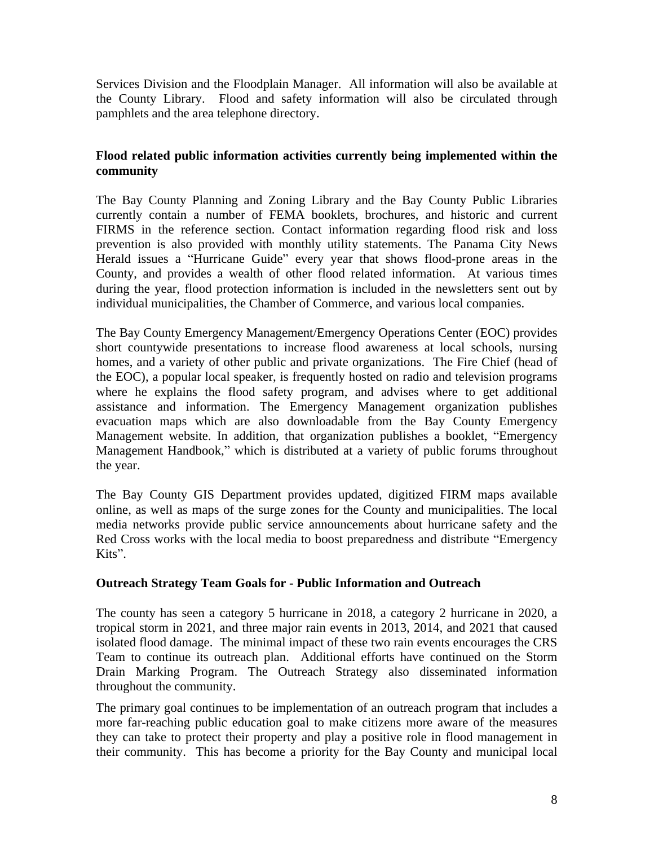Services Division and the Floodplain Manager. All information will also be available at the County Library. Flood and safety information will also be circulated through pamphlets and the area telephone directory.

# **Flood related public information activities currently being implemented within the community**

The Bay County Planning and Zoning Library and the Bay County Public Libraries currently contain a number of FEMA booklets, brochures, and historic and current FIRMS in the reference section. Contact information regarding flood risk and loss prevention is also provided with monthly utility statements. The Panama City News Herald issues a "Hurricane Guide" every year that shows flood-prone areas in the County, and provides a wealth of other flood related information. At various times during the year, flood protection information is included in the newsletters sent out by individual municipalities, the Chamber of Commerce, and various local companies.

The Bay County Emergency Management/Emergency Operations Center (EOC) provides short countywide presentations to increase flood awareness at local schools, nursing homes, and a variety of other public and private organizations. The Fire Chief (head of the EOC), a popular local speaker, is frequently hosted on radio and television programs where he explains the flood safety program, and advises where to get additional assistance and information. The Emergency Management organization publishes evacuation maps which are also downloadable from the Bay County Emergency Management website. In addition, that organization publishes a booklet, "Emergency Management Handbook," which is distributed at a variety of public forums throughout the year.

The Bay County GIS Department provides updated, digitized FIRM maps available online, as well as maps of the surge zones for the County and municipalities. The local media networks provide public service announcements about hurricane safety and the Red Cross works with the local media to boost preparedness and distribute "Emergency Kits".

# **Outreach Strategy Team Goals for - Public Information and Outreach**

The county has seen a category 5 hurricane in 2018, a category 2 hurricane in 2020, a tropical storm in 2021, and three major rain events in 2013, 2014, and 2021 that caused isolated flood damage. The minimal impact of these two rain events encourages the CRS Team to continue its outreach plan. Additional efforts have continued on the Storm Drain Marking Program. The Outreach Strategy also disseminated information throughout the community.

The primary goal continues to be implementation of an outreach program that includes a more far-reaching public education goal to make citizens more aware of the measures they can take to protect their property and play a positive role in flood management in their community. This has become a priority for the Bay County and municipal local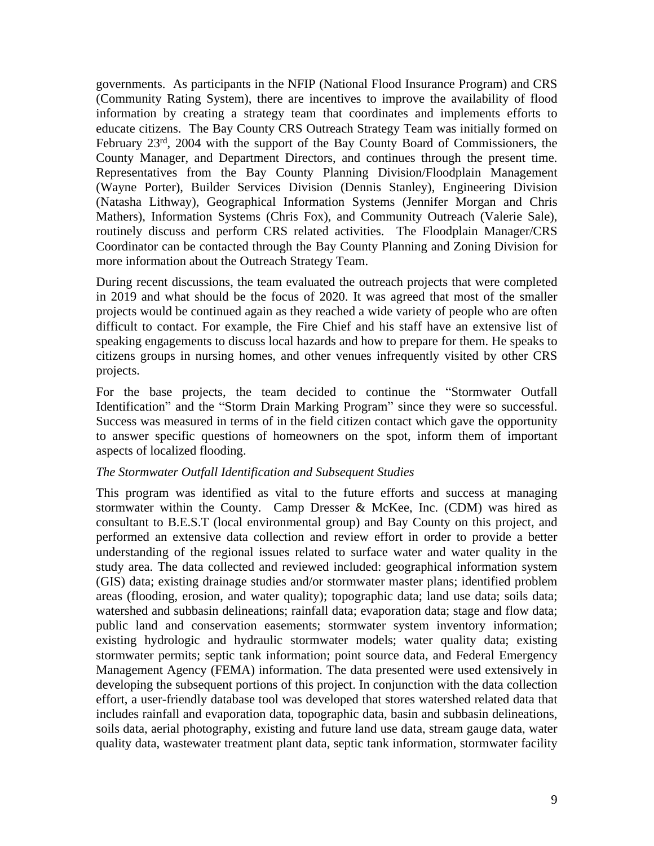governments. As participants in the NFIP (National Flood Insurance Program) and CRS (Community Rating System), there are incentives to improve the availability of flood information by creating a strategy team that coordinates and implements efforts to educate citizens. The Bay County CRS Outreach Strategy Team was initially formed on February 23<sup>rd</sup>, 2004 with the support of the Bay County Board of Commissioners, the County Manager, and Department Directors, and continues through the present time. Representatives from the Bay County Planning Division/Floodplain Management (Wayne Porter), Builder Services Division (Dennis Stanley), Engineering Division (Natasha Lithway), Geographical Information Systems (Jennifer Morgan and Chris Mathers), Information Systems (Chris Fox), and Community Outreach (Valerie Sale), routinely discuss and perform CRS related activities. The Floodplain Manager/CRS Coordinator can be contacted through the Bay County Planning and Zoning Division for more information about the Outreach Strategy Team.

During recent discussions, the team evaluated the outreach projects that were completed in 2019 and what should be the focus of 2020. It was agreed that most of the smaller projects would be continued again as they reached a wide variety of people who are often difficult to contact. For example, the Fire Chief and his staff have an extensive list of speaking engagements to discuss local hazards and how to prepare for them. He speaks to citizens groups in nursing homes, and other venues infrequently visited by other CRS projects.

For the base projects, the team decided to continue the "Stormwater Outfall Identification" and the "Storm Drain Marking Program" since they were so successful. Success was measured in terms of in the field citizen contact which gave the opportunity to answer specific questions of homeowners on the spot, inform them of important aspects of localized flooding.

## *The Stormwater Outfall Identification and Subsequent Studies*

This program was identified as vital to the future efforts and success at managing stormwater within the County. Camp Dresser & McKee, Inc. (CDM) was hired as consultant to B.E.S.T (local environmental group) and Bay County on this project, and performed an extensive data collection and review effort in order to provide a better understanding of the regional issues related to surface water and water quality in the study area. The data collected and reviewed included: geographical information system (GIS) data; existing drainage studies and/or stormwater master plans; identified problem areas (flooding, erosion, and water quality); topographic data; land use data; soils data; watershed and subbasin delineations; rainfall data; evaporation data; stage and flow data; public land and conservation easements; stormwater system inventory information; existing hydrologic and hydraulic stormwater models; water quality data; existing stormwater permits; septic tank information; point source data, and Federal Emergency Management Agency (FEMA) information. The data presented were used extensively in developing the subsequent portions of this project. In conjunction with the data collection effort, a user-friendly database tool was developed that stores watershed related data that includes rainfall and evaporation data, topographic data, basin and subbasin delineations, soils data, aerial photography, existing and future land use data, stream gauge data, water quality data, wastewater treatment plant data, septic tank information, stormwater facility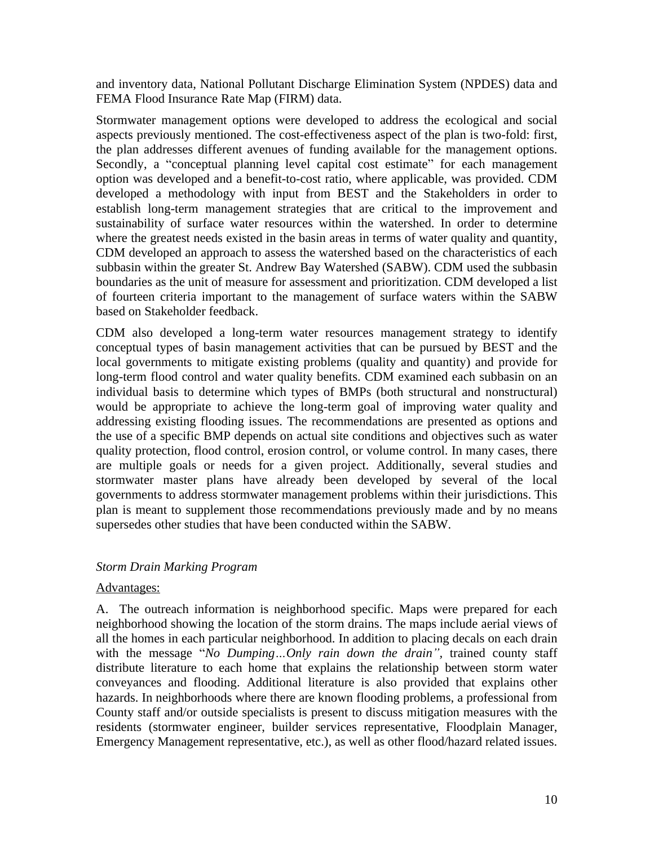and inventory data, National Pollutant Discharge Elimination System (NPDES) data and FEMA Flood Insurance Rate Map (FIRM) data.

Stormwater management options were developed to address the ecological and social aspects previously mentioned. The cost-effectiveness aspect of the plan is two-fold: first, the plan addresses different avenues of funding available for the management options. Secondly, a "conceptual planning level capital cost estimate" for each management option was developed and a benefit-to-cost ratio, where applicable, was provided. CDM developed a methodology with input from BEST and the Stakeholders in order to establish long-term management strategies that are critical to the improvement and sustainability of surface water resources within the watershed. In order to determine where the greatest needs existed in the basin areas in terms of water quality and quantity, CDM developed an approach to assess the watershed based on the characteristics of each subbasin within the greater St. Andrew Bay Watershed (SABW). CDM used the subbasin boundaries as the unit of measure for assessment and prioritization. CDM developed a list of fourteen criteria important to the management of surface waters within the SABW based on Stakeholder feedback.

CDM also developed a long-term water resources management strategy to identify conceptual types of basin management activities that can be pursued by BEST and the local governments to mitigate existing problems (quality and quantity) and provide for long-term flood control and water quality benefits. CDM examined each subbasin on an individual basis to determine which types of BMPs (both structural and nonstructural) would be appropriate to achieve the long-term goal of improving water quality and addressing existing flooding issues. The recommendations are presented as options and the use of a specific BMP depends on actual site conditions and objectives such as water quality protection, flood control, erosion control, or volume control. In many cases, there are multiple goals or needs for a given project. Additionally, several studies and stormwater master plans have already been developed by several of the local governments to address stormwater management problems within their jurisdictions. This plan is meant to supplement those recommendations previously made and by no means supersedes other studies that have been conducted within the SABW.

# *Storm Drain Marking Program*

## Advantages:

A. The outreach information is neighborhood specific. Maps were prepared for each neighborhood showing the location of the storm drains. The maps include aerial views of all the homes in each particular neighborhood. In addition to placing decals on each drain with the message "*No Dumping…Only rain down the drain",* trained county staff distribute literature to each home that explains the relationship between storm water conveyances and flooding. Additional literature is also provided that explains other hazards. In neighborhoods where there are known flooding problems, a professional from County staff and/or outside specialists is present to discuss mitigation measures with the residents (stormwater engineer, builder services representative, Floodplain Manager, Emergency Management representative, etc.), as well as other flood/hazard related issues.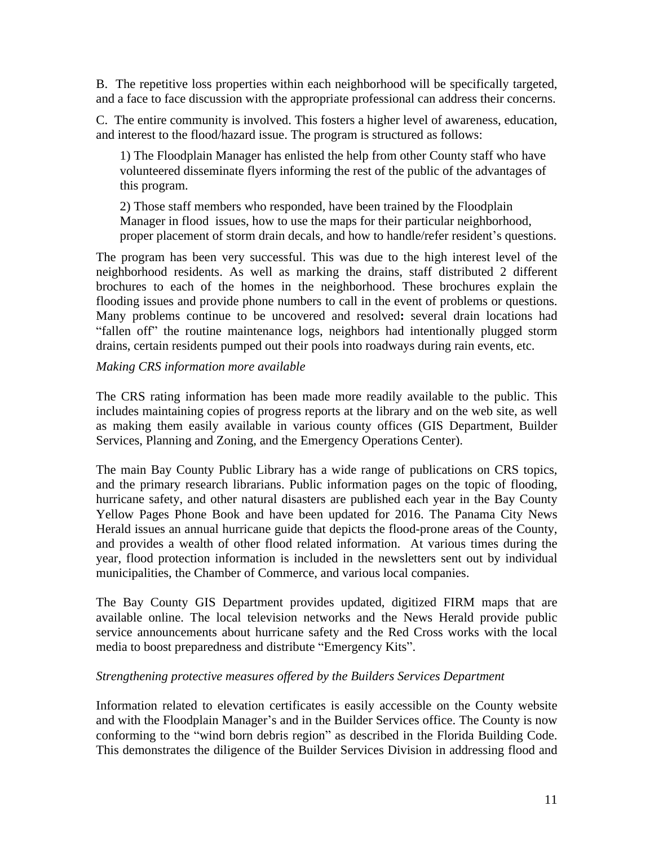B. The repetitive loss properties within each neighborhood will be specifically targeted, and a face to face discussion with the appropriate professional can address their concerns.

C. The entire community is involved. This fosters a higher level of awareness, education, and interest to the flood/hazard issue. The program is structured as follows:

1) The Floodplain Manager has enlisted the help from other County staff who have volunteered disseminate flyers informing the rest of the public of the advantages of this program.

2) Those staff members who responded, have been trained by the Floodplain Manager in flood issues, how to use the maps for their particular neighborhood, proper placement of storm drain decals, and how to handle/refer resident's questions.

The program has been very successful. This was due to the high interest level of the neighborhood residents. As well as marking the drains, staff distributed 2 different brochures to each of the homes in the neighborhood. These brochures explain the flooding issues and provide phone numbers to call in the event of problems or questions. Many problems continue to be uncovered and resolved**:** several drain locations had "fallen off" the routine maintenance logs, neighbors had intentionally plugged storm drains, certain residents pumped out their pools into roadways during rain events, etc.

## *Making CRS information more available*

The CRS rating information has been made more readily available to the public. This includes maintaining copies of progress reports at the library and on the web site, as well as making them easily available in various county offices (GIS Department, Builder Services, Planning and Zoning, and the Emergency Operations Center).

The main Bay County Public Library has a wide range of publications on CRS topics, and the primary research librarians. Public information pages on the topic of flooding, hurricane safety, and other natural disasters are published each year in the Bay County Yellow Pages Phone Book and have been updated for 2016. The Panama City News Herald issues an annual hurricane guide that depicts the flood-prone areas of the County, and provides a wealth of other flood related information. At various times during the year, flood protection information is included in the newsletters sent out by individual municipalities, the Chamber of Commerce, and various local companies.

The Bay County GIS Department provides updated, digitized FIRM maps that are available online. The local television networks and the News Herald provide public service announcements about hurricane safety and the Red Cross works with the local media to boost preparedness and distribute "Emergency Kits".

## *Strengthening protective measures offered by the Builders Services Department*

Information related to elevation certificates is easily accessible on the County website and with the Floodplain Manager's and in the Builder Services office. The County is now conforming to the "wind born debris region" as described in the Florida Building Code. This demonstrates the diligence of the Builder Services Division in addressing flood and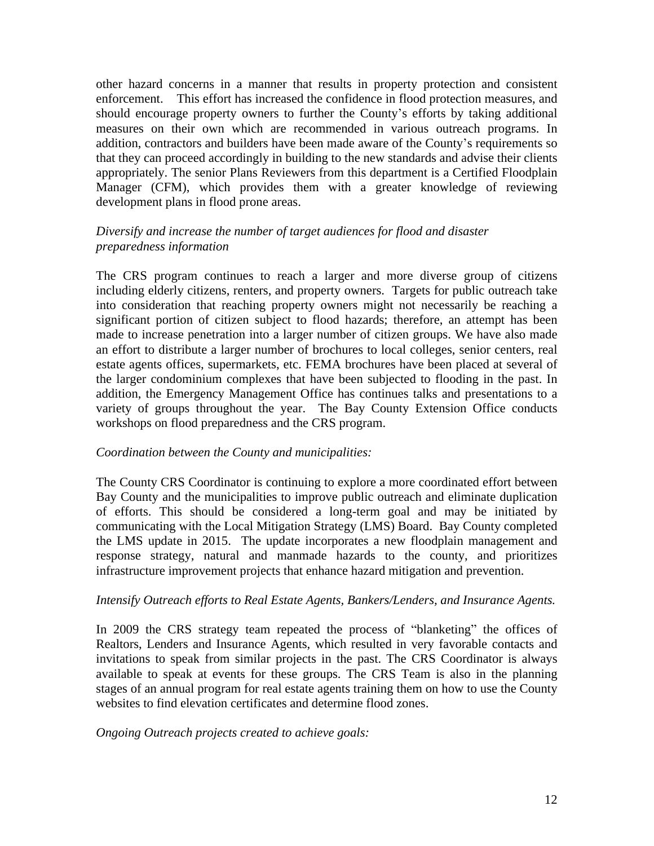other hazard concerns in a manner that results in property protection and consistent enforcement. This effort has increased the confidence in flood protection measures, and should encourage property owners to further the County's efforts by taking additional measures on their own which are recommended in various outreach programs. In addition, contractors and builders have been made aware of the County's requirements so that they can proceed accordingly in building to the new standards and advise their clients appropriately. The senior Plans Reviewers from this department is a Certified Floodplain Manager (CFM), which provides them with a greater knowledge of reviewing development plans in flood prone areas.

# *Diversify and increase the number of target audiences for flood and disaster preparedness information*

The CRS program continues to reach a larger and more diverse group of citizens including elderly citizens, renters, and property owners. Targets for public outreach take into consideration that reaching property owners might not necessarily be reaching a significant portion of citizen subject to flood hazards; therefore, an attempt has been made to increase penetration into a larger number of citizen groups. We have also made an effort to distribute a larger number of brochures to local colleges, senior centers, real estate agents offices, supermarkets, etc. FEMA brochures have been placed at several of the larger condominium complexes that have been subjected to flooding in the past. In addition, the Emergency Management Office has continues talks and presentations to a variety of groups throughout the year. The Bay County Extension Office conducts workshops on flood preparedness and the CRS program.

## *Coordination between the County and municipalities:*

The County CRS Coordinator is continuing to explore a more coordinated effort between Bay County and the municipalities to improve public outreach and eliminate duplication of efforts. This should be considered a long-term goal and may be initiated by communicating with the Local Mitigation Strategy (LMS) Board. Bay County completed the LMS update in 2015. The update incorporates a new floodplain management and response strategy, natural and manmade hazards to the county, and prioritizes infrastructure improvement projects that enhance hazard mitigation and prevention.

## *Intensify Outreach efforts to Real Estate Agents, Bankers/Lenders, and Insurance Agents.*

In 2009 the CRS strategy team repeated the process of "blanketing" the offices of Realtors, Lenders and Insurance Agents, which resulted in very favorable contacts and invitations to speak from similar projects in the past. The CRS Coordinator is always available to speak at events for these groups. The CRS Team is also in the planning stages of an annual program for real estate agents training them on how to use the County websites to find elevation certificates and determine flood zones.

## *Ongoing Outreach projects created to achieve goals:*